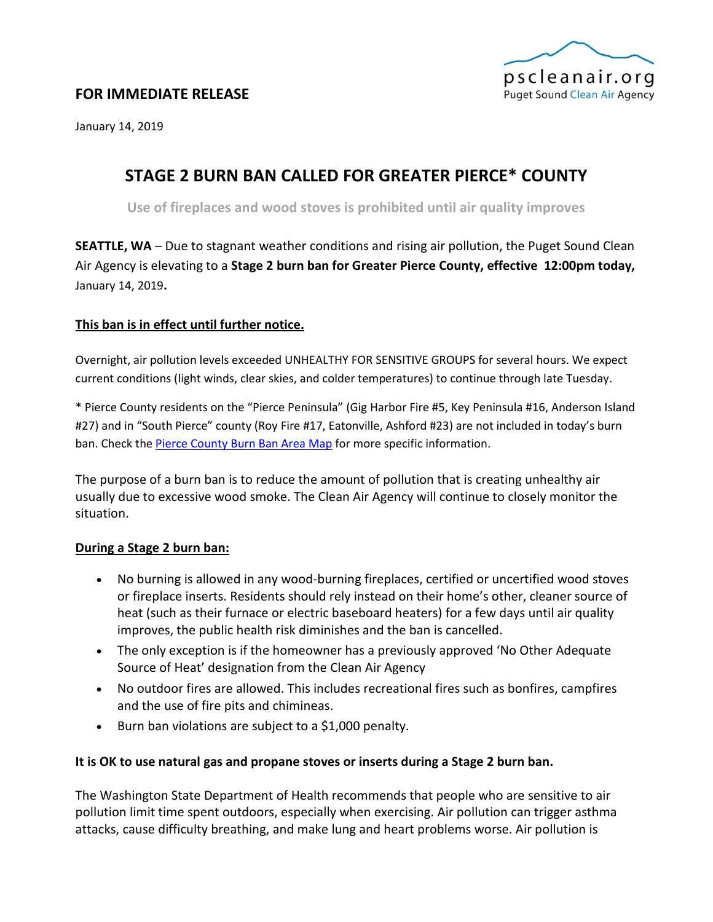

# **FOR IMMEDIATE RELEASE**

January 14, 2019

# **STAGE 2 BURN BAN CALLED FOR GREATER PIERCE\* COUNTY**

**Use of fireplaces and wood stoves is prohibited until air quality improves**

**SEATTLE, WA** – Due to stagnant weather conditions and rising air pollution, the Puget Sound Clean Air Agency is elevating to a **Stage 2 burn ban for Greater Pierce County, effective 12:00pm today,** January 14, 2019**.**

## **This ban is in effect until further notice.**

Overnight, air pollution levels exceeded UNHEALTHY FOR SENSITIVE GROUPS for several hours. We expect current conditions (light winds, clear skies, and colder temperatures) to continue through late Tuesday.

\* Pierce County residents on the "Pierce Peninsula" (Gig Harbor Fire #5, Key Peninsula #16, Anderson Island #27) and in "South Pierce" county (Roy Fire #17, Eatonville, Ashford #23) are not included in today's burn ban. Check th[e Pierce County Burn Ban Area Map](https://www.google.com/maps/d/viewer?mid=zmvqFrfm-cro.kweEx2mXIOyE) for more specific information.

The purpose of a burn ban is to reduce the amount of pollution that is creating unhealthy air usually due to excessive wood smoke. The Clean Air Agency will continue to closely monitor the situation.

### **During a Stage 2 burn ban:**

- No burning is allowed in any wood-burning fireplaces, certified or uncertified wood stoves or fireplace inserts. Residents should rely instead on their home's other, cleaner source of heat (such as their furnace or electric baseboard heaters) for a few days until air quality improves, the public health risk diminishes and the ban is cancelled.
- The only exception is if the homeowner has a previously approved 'No Other Adequate Source of Heat' designation from the Clean Air Agency
- No outdoor fires are allowed. This includes recreational fires such as bonfires, campfires and the use of fire pits and chimineas.
- Burn ban violations are subject to a \$1,000 penalty.

## **It is OK to use natural gas and propane stoves or inserts during a Stage 2 burn ban.**

The Washington State Department of Health recommends that people who are sensitive to air pollution limit time spent outdoors, especially when exercising. Air pollution can trigger asthma attacks, cause difficulty breathing, and make lung and heart problems worse. Air pollution is